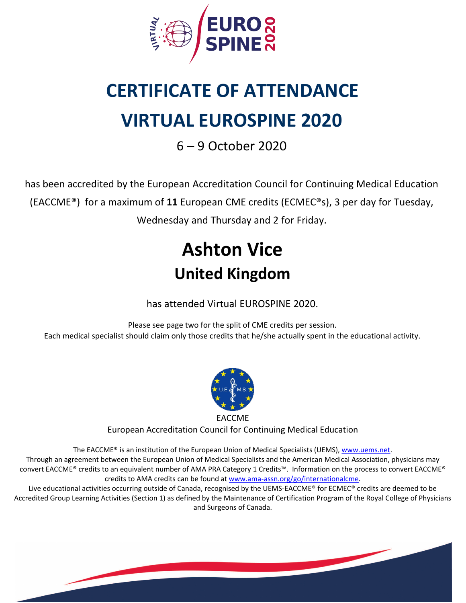

# **CERTIFICATE OF ATTENDANCE VIRTUAL EUROSPINE 2020**

6 – 9 October 2020

has been accredited by the European Accreditation Council for Continuing Medical Education (EACCME®) for a maximum of **11** European CME credits (ECMEC®s), 3 per day for Tuesday, Wednesday and Thursday and 2 for Friday.

## **Ashton Vice United Kingdom**

has attended Virtual EUROSPINE 2020.

Please see page two for the split of CME credits per session. Each medical specialist should claim only those credits that he/she actually spent in the educational activity.



European Accreditation Council for Continuing Medical Education

The EACCME® is an institution of the European Union of Medical Specialists (UEMS), [www.uems.net](http://www.uems.net). Through an agreement between the European Union of Medical Specialists and the American Medical Association, physicians may convert EACCME® credits to an equivalent number of AMA PRA Category 1 Credits™. Information on the process to convert EACCME® credits to AMA credits can be found at [www.ama-assn.org/go/internationalcme](http://www.ama-assn.org/go/internationalcme).

Live educational activities occurring outside of Canada, recognised by the UEMS-EACCME® for ECMEC® credits are deemed to be Accredited Group Learning Activities (Section 1) as defined by the Maintenance of Certification Program of the Royal College of Physicians and Surgeons of Canada.